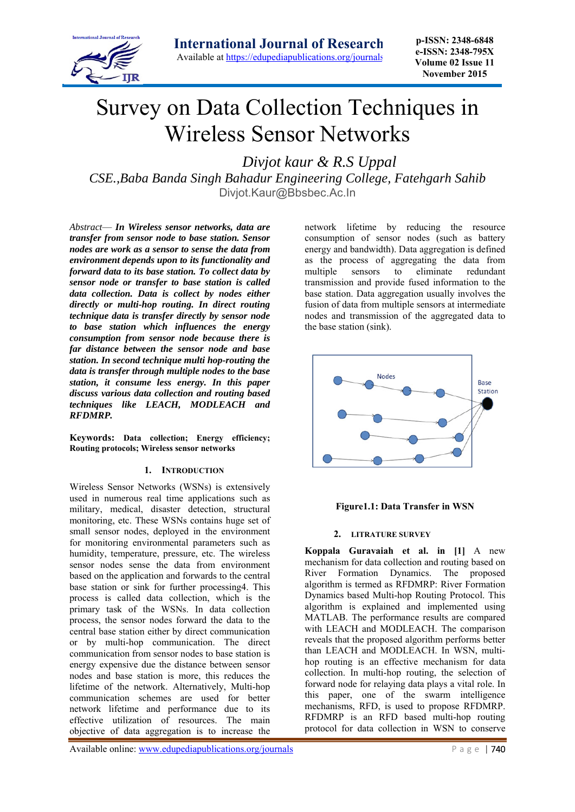

# Survey on Data Collection Techniques in Wireless Sensor Networks

Ī

 *Divjot kaur & R.S Uppal CSE.,Baba Banda Singh Bahadur Engineering College, Fatehgarh Sahib*  Divjot.Kaur@Bbsbec.Ac.In

*Abstract*— *In Wireless sensor networks, data are transfer from sensor node to base station. Sensor nodes are work as a sensor to sense the data from environment depends upon to its functionality and forward data to its base station. To collect data by sensor node or transfer to base station is called data collection. Data is collect by nodes either directly or multi-hop routing. In direct routing technique data is transfer directly by sensor node to base station which influences the energy consumption from sensor node because there is far distance between the sensor node and base station. In second technique multi hop-routing the data is transfer through multiple nodes to the base station, it consume less energy. In this paper discuss various data collection and routing based techniques like LEACH, MODLEACH and RFDMRP.* 

**Keywords: Data collection; Energy efficiency; Routing protocols; Wireless sensor networks**

## **1. INTRODUCTION**

Wireless Sensor Networks (WSNs) is extensively used in numerous real time applications such as military, medical, disaster detection, structural monitoring, etc. These WSNs contains huge set of small sensor nodes, deployed in the environment for monitoring environmental parameters such as humidity, temperature, pressure, etc. The wireless sensor nodes sense the data from environment based on the application and forwards to the central base station or sink for further processing4. This process is called data collection, which is the primary task of the WSNs. In data collection process, the sensor nodes forward the data to the central base station either by direct communication or by multi-hop communication. The direct communication from sensor nodes to base station is energy expensive due the distance between sensor nodes and base station is more, this reduces the lifetime of the network. Alternatively, Multi-hop communication schemes are used for better network lifetime and performance due to its effective utilization of resources. The main objective of data aggregation is to increase the

network lifetime by reducing the resource consumption of sensor nodes (such as battery energy and bandwidth). Data aggregation is defined as the process of aggregating the data from multiple sensors to eliminate redundant transmission and provide fused information to the base station. Data aggregation usually involves the fusion of data from multiple sensors at intermediate nodes and transmission of the aggregated data to the base station (sink).



## **Figure1.1: Data Transfer in WSN**

## **2. LITRATURE SURVEY**

**Koppala Guravaiah et al. in [1]** A new mechanism for data collection and routing based on River Formation Dynamics. The proposed algorithm is termed as RFDMRP: River Formation Dynamics based Multi-hop Routing Protocol. This algorithm is explained and implemented using MATLAB. The performance results are compared with LEACH and MODLEACH. The comparison reveals that the proposed algorithm performs better than LEACH and MODLEACH. In WSN, multihop routing is an effective mechanism for data collection. In multi-hop routing, the selection of forward node for relaying data plays a vital role. In this paper, one of the swarm intelligence mechanisms, RFD, is used to propose RFDMRP. RFDMRP is an RFD based multi-hop routing protocol for data collection in WSN to conserve

Available online: www.edupediapublications.org/journals  $P \circ g \in |740$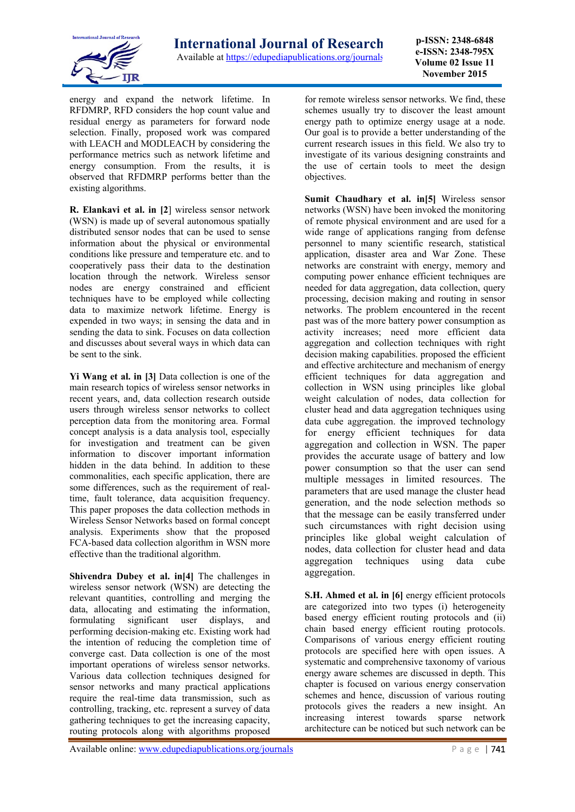

energy and expand the network lifetime. In RFDMRP, RFD considers the hop count value and residual energy as parameters for forward node selection. Finally, proposed work was compared with LEACH and MODLEACH by considering the performance metrics such as network lifetime and energy consumption. From the results, it is observed that RFDMRP performs better than the existing algorithms.

**R. Elankavi et al. in [2**] wireless sensor network (WSN) is made up of several autonomous spatially distributed sensor nodes that can be used to sense information about the physical or environmental conditions like pressure and temperature etc. and to cooperatively pass their data to the destination location through the network. Wireless sensor nodes are energy constrained and efficient techniques have to be employed while collecting data to maximize network lifetime. Energy is expended in two ways; in sensing the data and in sending the data to sink. Focuses on data collection and discusses about several ways in which data can be sent to the sink.

**Yi Wang et al. in [3]** Data collection is one of the main research topics of wireless sensor networks in recent years, and, data collection research outside users through wireless sensor networks to collect perception data from the monitoring area. Formal concept analysis is a data analysis tool, especially for investigation and treatment can be given information to discover important information hidden in the data behind. In addition to these commonalities, each specific application, there are some differences, such as the requirement of realtime, fault tolerance, data acquisition frequency. This paper proposes the data collection methods in Wireless Sensor Networks based on formal concept analysis. Experiments show that the proposed FCA-based data collection algorithm in WSN more effective than the traditional algorithm.

**Shivendra Dubey et al. in[4]** The challenges in wireless sensor network (WSN) are detecting the relevant quantities, controlling and merging the data, allocating and estimating the information, formulating significant user displays, and performing decision-making etc. Existing work had the intention of reducing the completion time of converge cast. Data collection is one of the most important operations of wireless sensor networks. Various data collection techniques designed for sensor networks and many practical applications require the real-time data transmission, such as controlling, tracking, etc. represent a survey of data gathering techniques to get the increasing capacity, routing protocols along with algorithms proposed

for remote wireless sensor networks. We find, these schemes usually try to discover the least amount energy path to optimize energy usage at a node. Our goal is to provide a better understanding of the current research issues in this field. We also try to investigate of its various designing constraints and the use of certain tools to meet the design objectives.

**Sumit Chaudhary et al. in[5]** Wireless sensor networks (WSN) have been invoked the monitoring of remote physical environment and are used for a wide range of applications ranging from defense personnel to many scientific research, statistical application, disaster area and War Zone. These networks are constraint with energy, memory and computing power enhance efficient techniques are needed for data aggregation, data collection, query processing, decision making and routing in sensor networks. The problem encountered in the recent past was of the more battery power consumption as activity increases; need more efficient data aggregation and collection techniques with right decision making capabilities. proposed the efficient and effective architecture and mechanism of energy efficient techniques for data aggregation and collection in WSN using principles like global weight calculation of nodes, data collection for cluster head and data aggregation techniques using data cube aggregation. the improved technology for energy efficient techniques for data aggregation and collection in WSN. The paper provides the accurate usage of battery and low power consumption so that the user can send multiple messages in limited resources. The parameters that are used manage the cluster head generation, and the node selection methods so that the message can be easily transferred under such circumstances with right decision using principles like global weight calculation of nodes, data collection for cluster head and data aggregation techniques using data cube aggregation.

**S.H. Ahmed et al. in [6] energy efficient protocols** are categorized into two types (i) heterogeneity based energy efficient routing protocols and (ii) chain based energy efficient routing protocols. Comparisons of various energy efficient routing protocols are specified here with open issues. A systematic and comprehensive taxonomy of various energy aware schemes are discussed in depth. This chapter is focused on various energy conservation schemes and hence, discussion of various routing protocols gives the readers a new insight. An increasing interest towards sparse network architecture can be noticed but such network can be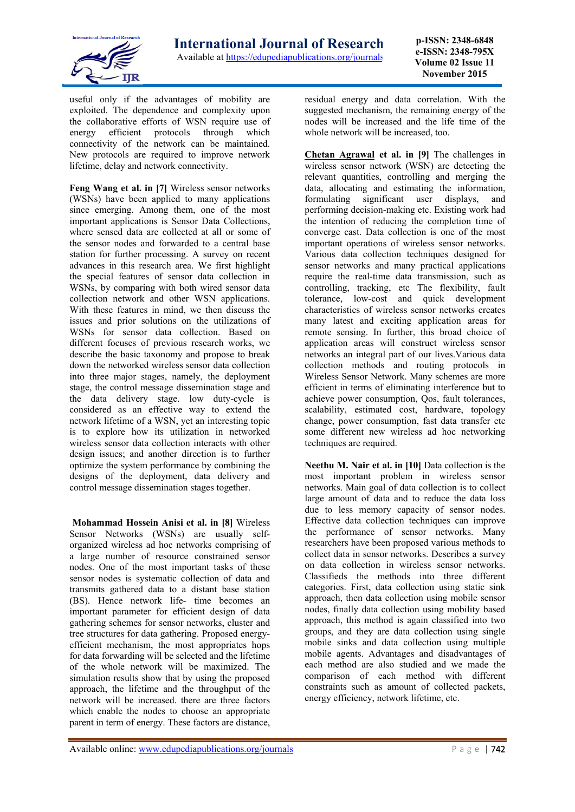

useful only if the advantages of mobility are exploited. The dependence and complexity upon the collaborative efforts of WSN require use of energy efficient protocols through which connectivity of the network can be maintained. New protocols are required to improve network lifetime, delay and network connectivity.

**Feng Wang et al. in [7]** Wireless sensor networks (WSNs) have been applied to many applications since emerging. Among them, one of the most important applications is Sensor Data Collections, where sensed data are collected at all or some of the sensor nodes and forwarded to a central base station for further processing. A survey on recent advances in this research area. We first highlight the special features of sensor data collection in WSNs, by comparing with both wired sensor data collection network and other WSN applications. With these features in mind, we then discuss the issues and prior solutions on the utilizations of WSNs for sensor data collection. Based on different focuses of previous research works, we describe the basic taxonomy and propose to break down the networked wireless sensor data collection into three major stages, namely, the deployment stage, the control message dissemination stage and the data delivery stage. low duty-cycle is considered as an effective way to extend the network lifetime of a WSN, yet an interesting topic is to explore how its utilization in networked wireless sensor data collection interacts with other design issues; and another direction is to further optimize the system performance by combining the designs of the deployment, data delivery and control message dissemination stages together.

**Mohammad Hossein Anisi et al. in [8]** Wireless Sensor Networks (WSNs) are usually selforganized wireless ad hoc networks comprising of a large number of resource constrained sensor nodes. One of the most important tasks of these sensor nodes is systematic collection of data and transmits gathered data to a distant base station (BS). Hence network life- time becomes an important parameter for efficient design of data gathering schemes for sensor networks, cluster and tree structures for data gathering. Proposed energyefficient mechanism, the most appropriates hops for data forwarding will be selected and the lifetime of the whole network will be maximized. The simulation results show that by using the proposed approach, the lifetime and the throughput of the network will be increased. there are three factors which enable the nodes to choose an appropriate parent in term of energy. These factors are distance,

residual energy and data correlation. With the suggested mechanism, the remaining energy of the nodes will be increased and the life time of the whole network will be increased, too.

**Chetan Agrawal et al. in [9]** The challenges in wireless sensor network (WSN) are detecting the relevant quantities, controlling and merging the data, allocating and estimating the information, formulating significant user displays, and performing decision-making etc. Existing work had the intention of reducing the completion time of converge cast. Data collection is one of the most important operations of wireless sensor networks. Various data collection techniques designed for sensor networks and many practical applications require the real-time data transmission, such as controlling, tracking, etc The flexibility, fault tolerance, low-cost and quick development characteristics of wireless sensor networks creates many latest and exciting application areas for remote sensing. In further, this broad choice of application areas will construct wireless sensor networks an integral part of our lives.Various data collection methods and routing protocols in Wireless Sensor Network. Many schemes are more efficient in terms of eliminating interference but to achieve power consumption, Qos, fault tolerances, scalability, estimated cost, hardware, topology change, power consumption, fast data transfer etc some different new wireless ad hoc networking techniques are required.

**Neethu M. Nair et al. in [10]** Data collection is the most important problem in wireless sensor networks. Main goal of data collection is to collect large amount of data and to reduce the data loss due to less memory capacity of sensor nodes. Effective data collection techniques can improve the performance of sensor networks. Many researchers have been proposed various methods to collect data in sensor networks. Describes a survey on data collection in wireless sensor networks. Classifieds the methods into three different categories. First, data collection using static sink approach, then data collection using mobile sensor nodes, finally data collection using mobility based approach, this method is again classified into two groups, and they are data collection using single mobile sinks and data collection using multiple mobile agents. Advantages and disadvantages of each method are also studied and we made the comparison of each method with different constraints such as amount of collected packets, energy efficiency, network lifetime, etc.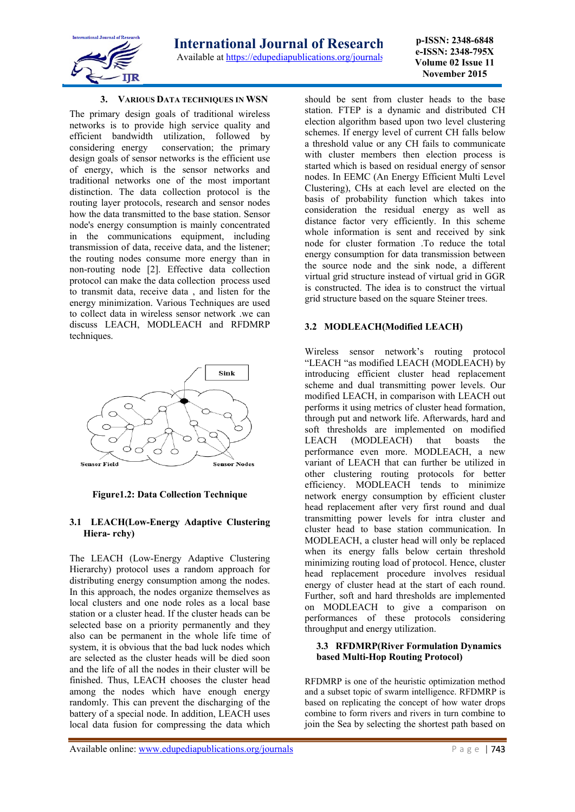

## **3. VARIOUS DATA TECHNIQUES IN WSN**

The primary design goals of traditional wireless networks is to provide high service quality and efficient bandwidth utilization, followed by considering energy conservation; the primary design goals of sensor networks is the efficient use of energy, which is the sensor networks and traditional networks one of the most important distinction. The data collection protocol is the routing layer protocols, research and sensor nodes how the data transmitted to the base station. Sensor node's energy consumption is mainly concentrated in the communications equipment, including transmission of data, receive data, and the listener; the routing nodes consume more energy than in non-routing node [2]. Effective data collection protocol can make the data collection process used to transmit data, receive data , and listen for the energy minimization. Various Techniques are used to collect data in wireless sensor network .we can discuss LEACH, MODLEACH and RFDMRP techniques.



**Figure1.2: Data Collection Technique**

## **3.1 LEACH(Low-Energy Adaptive Clustering Hiera- rchy)**

The LEACH (Low-Energy Adaptive Clustering Hierarchy) protocol uses a random approach for distributing energy consumption among the nodes. In this approach, the nodes organize themselves as local clusters and one node roles as a local base station or a cluster head. If the cluster heads can be selected base on a priority permanently and they also can be permanent in the whole life time of system, it is obvious that the bad luck nodes which are selected as the cluster heads will be died soon and the life of all the nodes in their cluster will be finished. Thus, LEACH chooses the cluster head among the nodes which have enough energy randomly. This can prevent the discharging of the battery of a special node. In addition, LEACH uses local data fusion for compressing the data which

should be sent from cluster heads to the base station. FTEP is a dynamic and distributed CH election algorithm based upon two level clustering schemes. If energy level of current CH falls below a threshold value or any CH fails to communicate with cluster members then election process is started which is based on residual energy of sensor nodes. In EEMC (An Energy Efficient Multi Level Clustering), CHs at each level are elected on the basis of probability function which takes into consideration the residual energy as well as distance factor very efficiently. In this scheme whole information is sent and received by sink node for cluster formation .To reduce the total energy consumption for data transmission between the source node and the sink node, a different virtual grid structure instead of virtual grid in GGR is constructed. The idea is to construct the virtual grid structure based on the square Steiner trees.

## **3.2 MODLEACH(Modified LEACH)**

Wireless sensor network's routing protocol "LEACH "as modified LEACH (MODLEACH) by introducing efficient cluster head replacement scheme and dual transmitting power levels. Our modified LEACH, in comparison with LEACH out performs it using metrics of cluster head formation, through put and network life. Afterwards, hard and soft thresholds are implemented on modified LEACH (MODLEACH) that boasts the performance even more. MODLEACH, a new variant of LEACH that can further be utilized in other clustering routing protocols for better efficiency. MODLEACH tends to minimize network energy consumption by efficient cluster head replacement after very first round and dual transmitting power levels for intra cluster and cluster head to base station communication. In MODLEACH, a cluster head will only be replaced when its energy falls below certain threshold minimizing routing load of protocol. Hence, cluster head replacement procedure involves residual energy of cluster head at the start of each round. Further, soft and hard thresholds are implemented on MODLEACH to give a comparison on performances of these protocols considering throughput and energy utilization.

## **3.3 RFDMRP(River Formulation Dynamics based Multi-Hop Routing Protocol)**

RFDMRP is one of the heuristic optimization method and a subset topic of swarm intelligence. RFDMRP is based on replicating the concept of how water drops combine to form rivers and rivers in turn combine to join the Sea by selecting the shortest path based on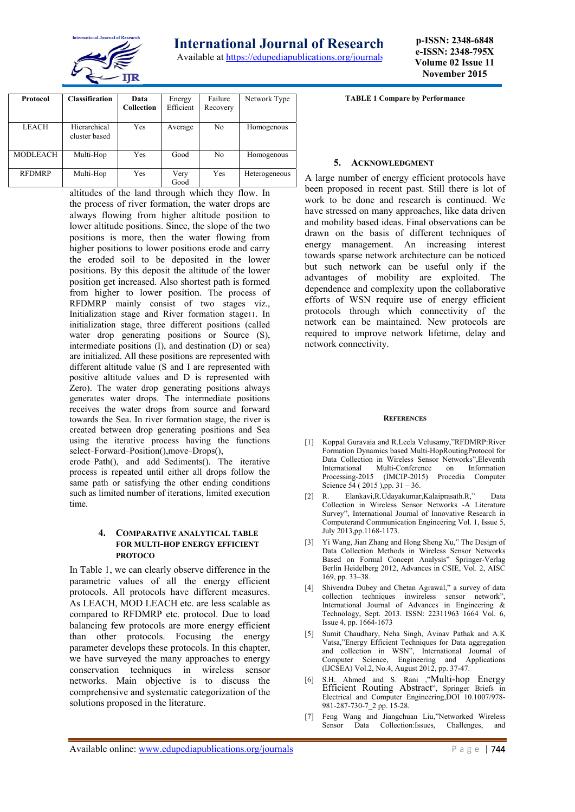

Available at https://edupediapublications.org/journals

| Protocol        | <b>Classification</b>         | Data<br><b>Collection</b> | Energy<br>Efficient | Failure<br>Recovery | Network Type  |
|-----------------|-------------------------------|---------------------------|---------------------|---------------------|---------------|
| <b>LEACH</b>    | Hierarchical<br>cluster based | Yes                       | Average             | No                  | Homogenous    |
| <b>MODLEACH</b> | Multi-Hop                     | Yes                       | Good                | N <sub>0</sub>      | Homogenous    |
| <b>RFDMRP</b>   | Multi-Hop                     | Yes                       | Very<br>Good        | Yes                 | Heterogeneous |

altitudes of the land through which they flow. In the process of river formation, the water drops are always flowing from higher altitude position to lower altitude positions. Since, the slope of the two positions is more, then the water flowing from higher positions to lower positions erode and carry the eroded soil to be deposited in the lower positions. By this deposit the altitude of the lower position get increased. Also shortest path is formed from higher to lower position. The process of RFDMRP mainly consist of two stages viz., Initialization stage and River formation stage11. In initialization stage, three different positions (called water drop generating positions or Source (S), intermediate positions (I), and destination (D) or sea) are initialized. All these positions are represented with different altitude value (S and I are represented with positive altitude values and D is represented with Zero). The water drop generating positions always generates water drops. The intermediate positions receives the water drops from source and forward towards the Sea. In river formation stage, the river is created between drop generating positions and Sea using the iterative process having the functions select−Forward−Position(),move−Drops(),

erode−Path(), and add−Sediments(). The iterative process is repeated until either all drops follow the same path or satisfying the other ending conditions such as limited number of iterations, limited execution time.

#### **4. COMPARATIVE ANALYTICAL TABLE FOR MULTI-HOP ENERGY EFFICIENT PROTOCO**

In Table 1, we can clearly observe difference in the parametric values of all the energy efficient protocols. All protocols have different measures. As LEACH, MOD LEACH etc. are less scalable as compared to RFDMRP etc. protocol. Due to load balancing few protocols are more energy efficient than other protocols. Focusing the energy parameter develops these protocols. In this chapter, we have surveyed the many approaches to energy conservation techniques in wireless sensor networks. Main objective is to discuss the comprehensive and systematic categorization of the solutions proposed in the literature.

**TABLE 1 Compare by Performance** 

## **5. ACKNOWLEDGMENT**

A large number of energy efficient protocols have been proposed in recent past. Still there is lot of work to be done and research is continued. We have stressed on many approaches, like data driven and mobility based ideas. Final observations can be drawn on the basis of different techniques of energy management. An increasing interest towards sparse network architecture can be noticed but such network can be useful only if the advantages of mobility are exploited. The dependence and complexity upon the collaborative efforts of WSN require use of energy efficient protocols through which connectivity of the network can be maintained. New protocols are required to improve network lifetime, delay and network connectivity.

#### **REFERENCES**

- [1] Koppal Guravaia and R.Leela Velusamy,"RFDMRP:River Formation Dynamics based Multi-HopRoutingProtocol for Data Collection in Wireless Sensor Networks",Eleventh International Multi-Conference on Information Processing-2015 (IMCIP-2015) Procedia Computer Science 54 ( 2015 ), pp. 31 – 36.
- [2] R. Elankavi,R.Udayakumar,Kalaiprasath.R," Data Collection in Wireless Sensor Networks -A Literature Survey", International Journal of Innovative Research in Computerand Communication Engineering Vol. 1, Issue 5, July 2013,pp.1168-1173.
- [3] Yi Wang, Jian Zhang and Hong Sheng Xu," The Design of Data Collection Methods in Wireless Sensor Networks Based on Formal Concept Analysis" Springer-Verlag Berlin Heidelberg 2012, Advances in CSIE, Vol. 2, AISC 169, pp. 33–38.
- [4] Shivendra Dubey and Chetan Agrawal," a survey of data collection techniques inwireless sensor network", International Journal of Advances in Engineering & Technology, Sept. 2013. ISSN: 22311963 1664 Vol. 6, Issue 4, pp. 1664-1673
- [5] Sumit Chaudhary, Neha Singh, Avinav Pathak and A.K Vatsa,"Energy Efficient Techniques for Data aggregation and collection in WSN", International Journal of Computer Science, Engineering and Applications (IJCSEA) Vol.2, No.4, August 2012, pp. 37-47.
- [6] S.H. Ahmed and S. Rani ,"Multi-hop Energy Efficient Routing Abstract", Springer Briefs in Electrical and Computer Engineering,DOI 10.1007/978- 981-287-730-7\_2 pp. 15-28.
- [7] Feng Wang and Jiangchuan Liu,"Networked Wireless Sensor Data Collection:Issues, Challenges, and